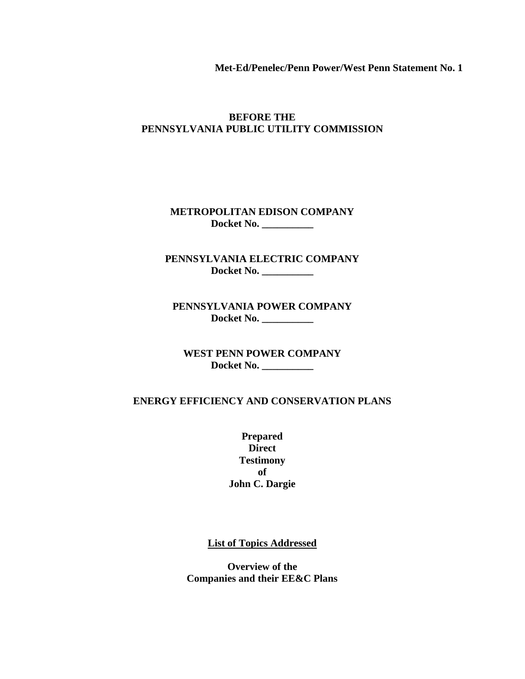**Met-Ed/Penelec/Penn Power/West Penn Statement No. 1**

### **BEFORE THE PENNSYLVANIA PUBLIC UTILITY COMMISSION**

**METROPOLITAN EDISON COMPANY Docket No. \_\_\_\_\_\_\_\_\_\_**

**PENNSYLVANIA ELECTRIC COMPANY Docket No. \_\_\_\_\_\_\_\_\_\_**

**PENNSYLVANIA POWER COMPANY Docket No. \_\_\_\_\_\_\_\_\_\_**

**WEST PENN POWER COMPANY Docket No. \_\_\_\_\_\_\_\_\_\_**

### **ENERGY EFFICIENCY AND CONSERVATION PLANS**

**Prepared Direct Testimony of John C. Dargie**

**List of Topics Addressed**

**Overview of the Companies and their EE&C Plans**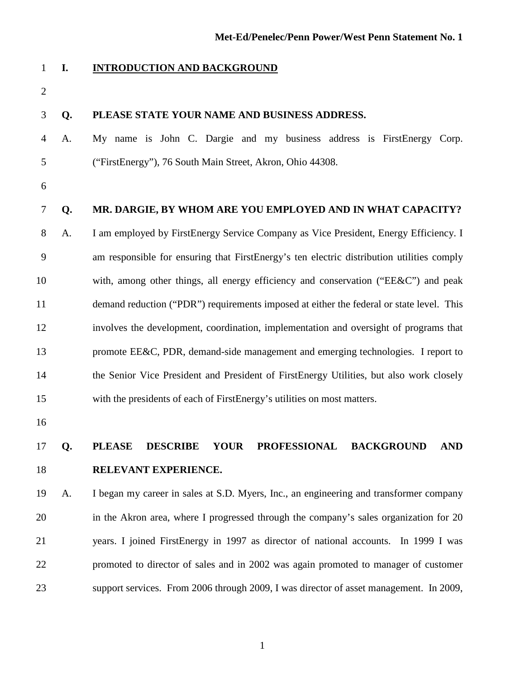### **I. INTRODUCTION AND BACKGROUND**

### **Q. PLEASE STATE YOUR NAME AND BUSINESS ADDRESS.**

- A. My name is John C. Dargie and my business address is FirstEnergy Corp. ("FirstEnergy"), 76 South Main Street, Akron, Ohio 44308.
- 

### **Q. MR. DARGIE, BY WHOM ARE YOU EMPLOYED AND IN WHAT CAPACITY?**

 A. I am employed by FirstEnergy Service Company as Vice President, Energy Efficiency. I am responsible for ensuring that FirstEnergy's ten electric distribution utilities comply with, among other things, all energy efficiency and conservation ("EE&C") and peak demand reduction ("PDR") requirements imposed at either the federal or state level. This involves the development, coordination, implementation and oversight of programs that promote EE&C, PDR, demand-side management and emerging technologies. I report to the Senior Vice President and President of FirstEnergy Utilities, but also work closely with the presidents of each of FirstEnergy's utilities on most matters.

### **Q. PLEASE DESCRIBE YOUR PROFESSIONAL BACKGROUND AND RELEVANT EXPERIENCE.**

 A. I began my career in sales at S.D. Myers, Inc., an engineering and transformer company in the Akron area, where I progressed through the company's sales organization for 20 years. I joined FirstEnergy in 1997 as director of national accounts. In 1999 I was promoted to director of sales and in 2002 was again promoted to manager of customer support services. From 2006 through 2009, I was director of asset management. In 2009,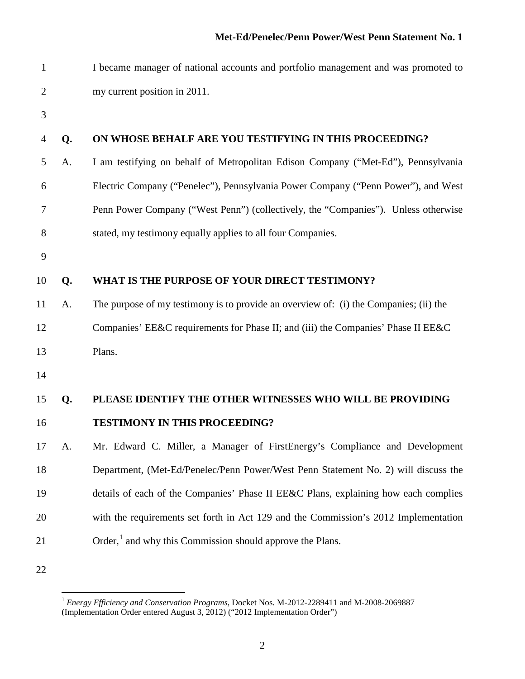| $\mathbf{1}$   |    | I became manager of national accounts and portfolio management and was promoted to    |
|----------------|----|---------------------------------------------------------------------------------------|
| $\overline{2}$ |    | my current position in 2011.                                                          |
| 3              |    |                                                                                       |
| 4              | Q. | ON WHOSE BEHALF ARE YOU TESTIFYING IN THIS PROCEEDING?                                |
| 5              | A. | I am testifying on behalf of Metropolitan Edison Company ("Met-Ed"), Pennsylvania     |
| 6              |    | Electric Company ("Penelec"), Pennsylvania Power Company ("Penn Power"), and West     |
| 7              |    | Penn Power Company ("West Penn") (collectively, the "Companies"). Unless otherwise    |
| 8              |    | stated, my testimony equally applies to all four Companies.                           |
| 9              |    |                                                                                       |
| 10             | Q. | WHAT IS THE PURPOSE OF YOUR DIRECT TESTIMONY?                                         |
| 11             | A. | The purpose of my testimony is to provide an overview of: (i) the Companies; (ii) the |
| 12             |    | Companies' EE&C requirements for Phase II; and (iii) the Companies' Phase II EE&C     |
| 13             |    | Plans.                                                                                |
| 14             |    |                                                                                       |
| 15             | Q. | PLEASE IDENTIFY THE OTHER WITNESSES WHO WILL BE PROVIDING                             |
| 16             |    | <b>TESTIMONY IN THIS PROCEEDING?</b>                                                  |
| 17             | A. | Mr. Edward C. Miller, a Manager of FirstEnergy's Compliance and Development           |
| 18             |    | Department, (Met-Ed/Penelec/Penn Power/West Penn Statement No. 2) will discuss the    |
| 19             |    | details of each of the Companies' Phase II EE&C Plans, explaining how each complies   |
| 20             |    | with the requirements set forth in Act 129 and the Commission's 2012 Implementation   |
| 21             |    | Order, <sup>1</sup> and why this Commission should approve the Plans.                 |
| 22             |    |                                                                                       |

<span id="page-2-0"></span> *Energy Efficiency and Conservation Programs*, Docket Nos. M-2012-2289411 and M-2008-2069887 (Implementation Order entered August 3, 2012) ("2012 Implementation Order")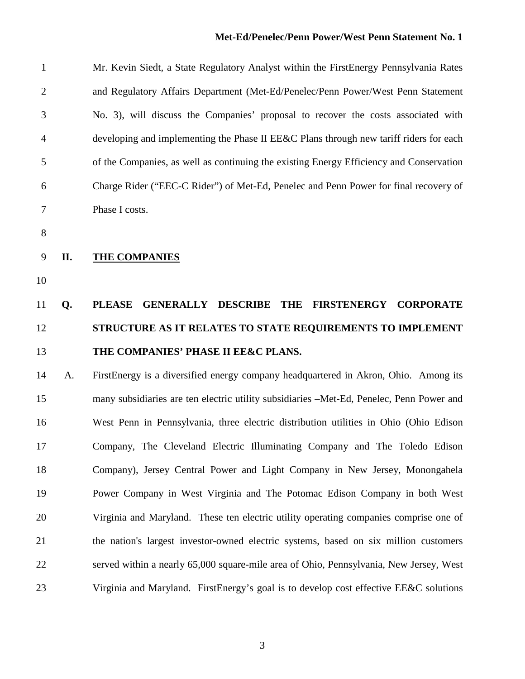### **Met-Ed/Penelec/Penn Power/West Penn Statement No. 1**

| $\mathbf{1}$   |     | Mr. Kevin Siedt, a State Regulatory Analyst within the FirstEnergy Pennsylvania Rates                        |
|----------------|-----|--------------------------------------------------------------------------------------------------------------|
| $\overline{2}$ |     | and Regulatory Affairs Department (Met-Ed/Penelec/Penn Power/West Penn Statement                             |
| 3              |     | No. 3), will discuss the Companies' proposal to recover the costs associated with                            |
| $\overline{4}$ |     | developing and implementing the Phase II EE&C Plans through new tariff riders for each                       |
| 5              |     | of the Companies, as well as continuing the existing Energy Efficiency and Conservation                      |
| 6              |     | Charge Rider ("EEC-C Rider") of Met-Ed, Penelec and Penn Power for final recovery of                         |
| $\overline{7}$ |     | Phase I costs.                                                                                               |
| 8              |     |                                                                                                              |
| 9              | II. | <b>THE COMPANIES</b>                                                                                         |
| 10             |     |                                                                                                              |
| 11             | Q.  | <b>PLEASE</b><br><b>GENERALLY</b><br><b>DESCRIBE</b><br><b>THE</b><br><b>FIRSTENERGY</b><br><b>CORPORATE</b> |
| 12             |     | STRUCTURE AS IT RELATES TO STATE REQUIREMENTS TO IMPLEMENT                                                   |
| 13             |     | THE COMPANIES' PHASE II EE&C PLANS.                                                                          |
| 14             | A.  | FirstEnergy is a diversified energy company headquartered in Akron, Ohio. Among its                          |
| 15             |     | many subsidiaries are ten electric utility subsidiaries -Met-Ed, Penelec, Penn Power and                     |
| 16             |     | West Penn in Pennsylvania, three electric distribution utilities in Ohio (Ohio Edison                        |
| 17             |     | Company, The Cleveland Electric Illuminating Company and The Toledo Edison                                   |
| 18             |     | Company), Jersey Central Power and Light Company in New Jersey, Monongahela                                  |
| 19             |     | Power Company in West Virginia and The Potomac Edison Company in both West                                   |
| 20             |     | Virginia and Maryland. These ten electric utility operating companies comprise one of                        |
| 21             |     | the nation's largest investor-owned electric systems, based on six million customers                         |
| 22             |     | served within a nearly 65,000 square-mile area of Ohio, Pennsylvania, New Jersey, West                       |
| 23             |     | Virginia and Maryland. FirstEnergy's goal is to develop cost effective EE&C solutions                        |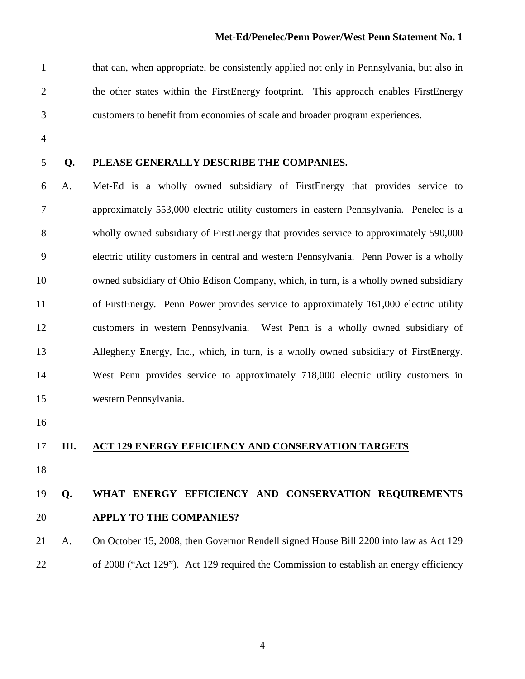that can, when appropriate, be consistently applied not only in Pennsylvania, but also in the other states within the FirstEnergy footprint. This approach enables FirstEnergy customers to benefit from economies of scale and broader program experiences.

- 
- 

### **Q. PLEASE GENERALLY DESCRIBE THE COMPANIES.**

 A. Met-Ed is a wholly owned subsidiary of FirstEnergy that provides service to approximately 553,000 electric utility customers in eastern Pennsylvania. Penelec is a wholly owned subsidiary of FirstEnergy that provides service to approximately 590,000 electric utility customers in central and western Pennsylvania. Penn Power is a wholly owned subsidiary of Ohio Edison Company, which, in turn, is a wholly owned subsidiary of FirstEnergy. Penn Power provides service to approximately 161,000 electric utility customers in western Pennsylvania. West Penn is a wholly owned subsidiary of Allegheny Energy, Inc., which, in turn, is a wholly owned subsidiary of FirstEnergy. West Penn provides service to approximately 718,000 electric utility customers in western Pennsylvania.

### **III. ACT 129 ENERGY EFFICIENCY AND CONSERVATION TARGETS**

# **Q. WHAT ENERGY EFFICIENCY AND CONSERVATION REQUIREMENTS APPLY TO THE COMPANIES?**

 A. On October 15, 2008, then Governor Rendell signed House Bill 2200 into law as Act 129 of 2008 ("Act 129"). Act 129 required the Commission to establish an energy efficiency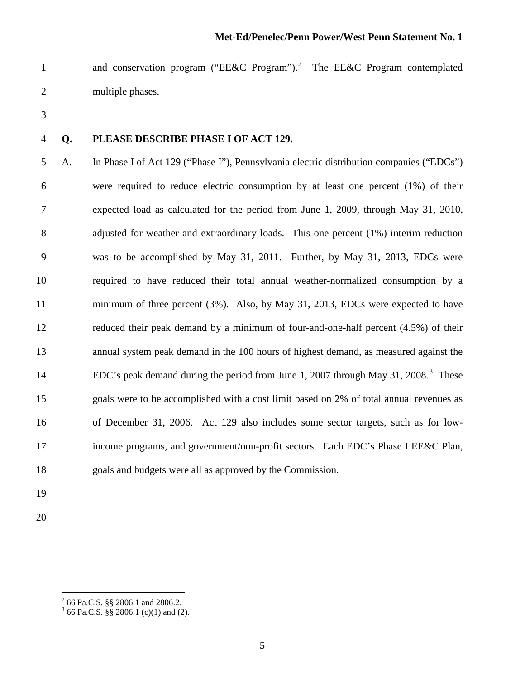1 and conservation program ("EE&C Program").<sup>[2](#page-5-0)</sup> The EE&C Program contemplated multiple phases.

- 
- **Q. PLEASE DESCRIBE PHASE I OF ACT 129.**

 A. In Phase I of Act 129 ("Phase I"), Pennsylvania electric distribution companies ("EDCs") were required to reduce electric consumption by at least one percent (1%) of their expected load as calculated for the period from June 1, 2009, through May 31, 2010, adjusted for weather and extraordinary loads. This one percent (1%) interim reduction was to be accomplished by May 31, 2011. Further, by May 31, 2013, EDCs were required to have reduced their total annual weather-normalized consumption by a minimum of three percent (3%). Also, by May 31, 2013, EDCs were expected to have reduced their peak demand by a minimum of four-and-one-half percent (4.5%) of their annual system peak demand in the 100 hours of highest demand, as measured against the EDC's peak demand during the period from June 1, 2007 through May [3](#page-5-1)1, 2008.<sup>3</sup> These goals were to be accomplished with a cost limit based on 2% of total annual revenues as of December 31, 2006. Act 129 also includes some sector targets, such as for low- income programs, and government/non-profit sectors. Each EDC's Phase I EE&C Plan, goals and budgets were all as approved by the Commission.

- 
- 

<span id="page-5-0"></span>66 Pa.C.S. §§ 2806.1 and 2806.2.

<span id="page-5-1"></span> $3^{3}$  66 Pa.C.S. §§ 2806.1 (c)(1) and (2).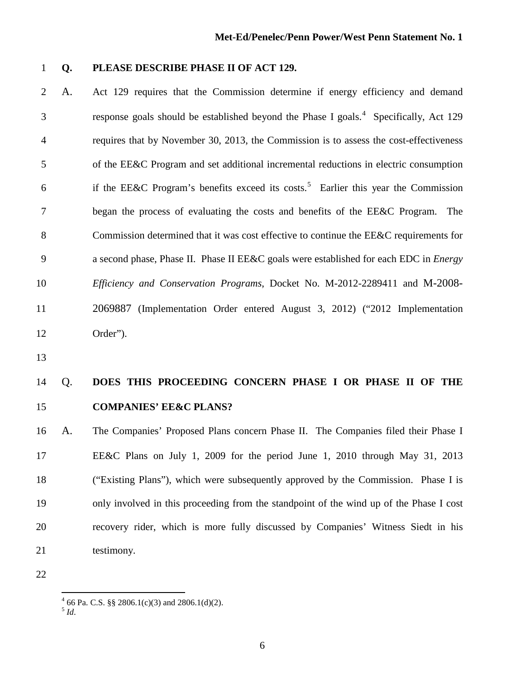### **Q. PLEASE DESCRIBE PHASE II OF ACT 129.**

 A. Act 129 requires that the Commission determine if energy efficiency and demand response goals should be established beyond the Phase I goals.<sup>[4](#page-6-0)</sup> Specifically, Act 129 requires that by November 30, 2013, the Commission is to assess the cost-effectiveness of the EE&C Program and set additional incremental reductions in electric consumption 6 if the EE&C Program's benefits exceed its costs.<sup>[5](#page-6-1)</sup> Earlier this year the Commission began the process of evaluating the costs and benefits of the EE&C Program. The 8 Commission determined that it was cost effective to continue the EE&C requirements for a second phase, Phase II. Phase II EE&C goals were established for each EDC in *Energy Efficiency and Conservation Programs*, Docket No. M-2012-2289411 and M-2008- 2069887 (Implementation Order entered August 3, 2012) ("2012 Implementation Order").

# Q. **DOES THIS PROCEEDING CONCERN PHASE I OR PHASE II OF THE COMPANIES' EE&C PLANS?**

 A. The Companies' Proposed Plans concern Phase II. The Companies filed their Phase I EE&C Plans on July 1, 2009 for the period June 1, 2010 through May 31, 2013 ("Existing Plans"), which were subsequently approved by the Commission. Phase I is only involved in this proceeding from the standpoint of the wind up of the Phase I cost recovery rider, which is more fully discussed by Companies' Witness Siedt in his 21 testimony.

 $^{4}$  66 Pa. C.S. §§ 2806.1(c)(3) and 2806.1(d)(2).<br><sup>5</sup>*Id*</sup>

<span id="page-6-1"></span><span id="page-6-0"></span>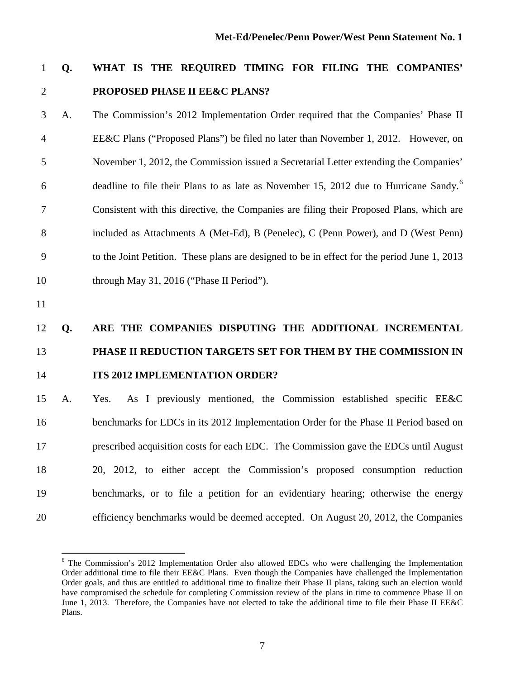# **Q. WHAT IS THE REQUIRED TIMING FOR FILING THE COMPANIES' PROPOSED PHASE II EE&C PLANS?**

 A. The Commission's 2012 Implementation Order required that the Companies' Phase II EE&C Plans ("Proposed Plans") be filed no later than November 1, 2012. However, on November 1, 2012, the Commission issued a Secretarial Letter extending the Companies' deadline to file their Plans to as late as November 15, 2012 due to Hurricane Sandy.<sup>6</sup> Consistent with this directive, the Companies are filing their Proposed Plans, which are included as Attachments A (Met-Ed), B (Penelec), C (Penn Power), and D (West Penn) to the Joint Petition. These plans are designed to be in effect for the period June 1, 2013 10 through May 31, 2016 ("Phase II Period").

# **Q. ARE THE COMPANIES DISPUTING THE ADDITIONAL INCREMENTAL PHASE II REDUCTION TARGETS SET FOR THEM BY THE COMMISSION IN ITS 2012 IMPLEMENTATION ORDER?**

 A. Yes. As I previously mentioned, the Commission established specific EE&C benchmarks for EDCs in its 2012 Implementation Order for the Phase II Period based on prescribed acquisition costs for each EDC. The Commission gave the EDCs until August 20, 2012, to either accept the Commission's proposed consumption reduction benchmarks, or to file a petition for an evidentiary hearing; otherwise the energy efficiency benchmarks would be deemed accepted. On August 20, 2012, the Companies

<span id="page-7-0"></span><sup>&</sup>lt;sup>6</sup> The Commission's 2012 Implementation Order also allowed EDCs who were challenging the Implementation Order additional time to file their EE&C Plans. Even though the Companies have challenged the Implementation Order goals, and thus are entitled to additional time to finalize their Phase II plans, taking such an election would have compromised the schedule for completing Commission review of the plans in time to commence Phase II on June 1, 2013. Therefore, the Companies have not elected to take the additional time to file their Phase II EE&C Plans.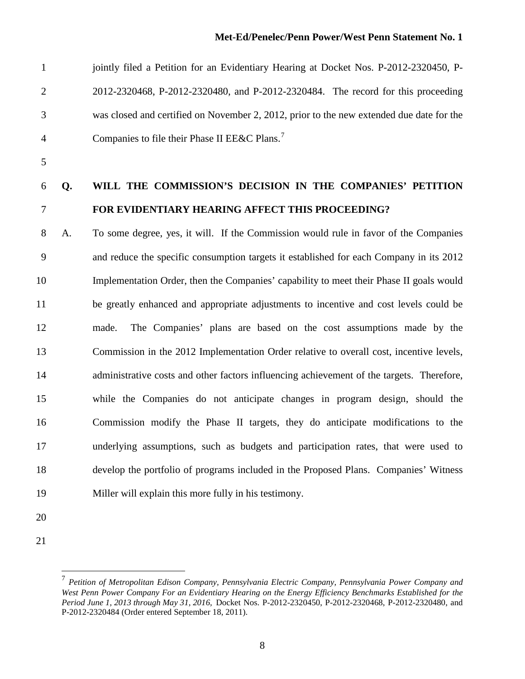| $\mathbf{1}$   |    | jointly filed a Petition for an Evidentiary Hearing at Docket Nos. P-2012-2320450, P-     |
|----------------|----|-------------------------------------------------------------------------------------------|
| $\overline{2}$ |    | 2012-2320468, P-2012-2320480, and P-2012-2320484. The record for this proceeding          |
| 3              |    | was closed and certified on November 2, 2012, prior to the new extended due date for the  |
| 4              |    | Companies to file their Phase II EE&C Plans. <sup>7</sup>                                 |
| 5              |    |                                                                                           |
| 6              | Q. | WILL THE COMMISSION'S DECISION IN THE COMPANIES' PETITION                                 |
| 7              |    | FOR EVIDENTIARY HEARING AFFECT THIS PROCEEDING?                                           |
| 8              | A. | To some degree, yes, it will. If the Commission would rule in favor of the Companies      |
| 9              |    | and reduce the specific consumption targets it established for each Company in its 2012   |
| 10             |    | Implementation Order, then the Companies' capability to meet their Phase II goals would   |
| 11             |    | be greatly enhanced and appropriate adjustments to incentive and cost levels could be     |
| 12             |    | The Companies' plans are based on the cost assumptions made by the<br>made.               |
| 13             |    | Commission in the 2012 Implementation Order relative to overall cost, incentive levels,   |
| 14             |    | administrative costs and other factors influencing achievement of the targets. Therefore, |
| 15             |    | while the Companies do not anticipate changes in program design, should the               |
| 16             |    | Commission modify the Phase II targets, they do anticipate modifications to the           |
| 17             |    | underlying assumptions, such as budgets and participation rates, that were used to        |
| 18             |    | develop the portfolio of programs included in the Proposed Plans. Companies' Witness      |
| 19             |    | Miller will explain this more fully in his testimony.                                     |
|                |    |                                                                                           |

- 
- <span id="page-8-0"></span>

 *Petition of Metropolitan Edison Company, Pennsylvania Electric Company, Pennsylvania Power Company and West Penn Power Company For an Evidentiary Hearing on the Energy Efficiency Benchmarks Established for the Period June 1, 2013 through May 31, 2016,* Docket Nos. P-2012-2320450, P-2012-2320468, P-2012-2320480, and P-2012-2320484 (Order entered September 18, 2011).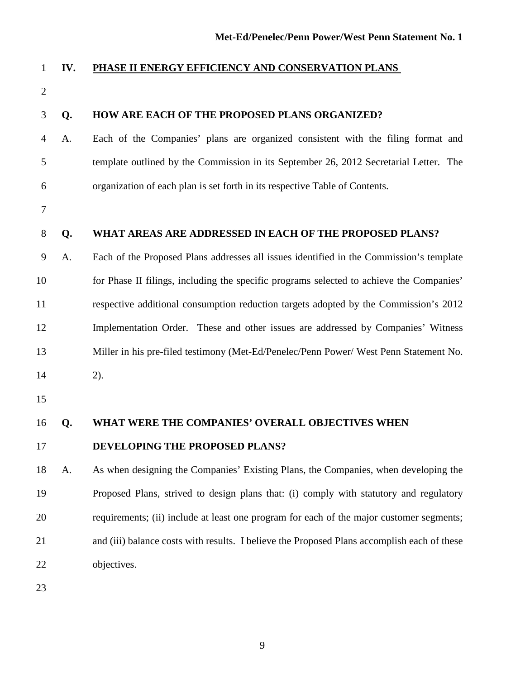| <b>PHASE II ENERGY EFFICIENCY AND CONSERVATION PLANS</b> |  |
|----------------------------------------------------------|--|
|----------------------------------------------------------|--|

| $\mathbf{2}$   |    |                                                                                             |
|----------------|----|---------------------------------------------------------------------------------------------|
| 3              | Q. | HOW ARE EACH OF THE PROPOSED PLANS ORGANIZED?                                               |
| $\overline{4}$ | A. | Each of the Companies' plans are organized consistent with the filing format and            |
| 5              |    | template outlined by the Commission in its September 26, 2012 Secretarial Letter. The       |
| 6              |    | organization of each plan is set forth in its respective Table of Contents.                 |
| 7              |    |                                                                                             |
| $8\,$          | Q. | WHAT AREAS ARE ADDRESSED IN EACH OF THE PROPOSED PLANS?                                     |
| 9              | A. | Each of the Proposed Plans addresses all issues identified in the Commission's template     |
| 10             |    | for Phase II filings, including the specific programs selected to achieve the Companies'    |
| 11             |    | respective additional consumption reduction targets adopted by the Commission's 2012        |
| 12             |    | Implementation Order. These and other issues are addressed by Companies' Witness            |
| 13             |    | Miller in his pre-filed testimony (Met-Ed/Penelec/Penn Power/ West Penn Statement No.       |
| 14             |    | $2)$ .                                                                                      |
| 15             |    |                                                                                             |
| 16             | Q. | WHAT WERE THE COMPANIES' OVERALL OBJECTIVES WHEN                                            |
| 17             |    | DEVELOPING THE PROPOSED PLANS?                                                              |
| 18             | A. | As when designing the Companies' Existing Plans, the Companies, when developing the         |
| 19             |    | Proposed Plans, strived to design plans that: (i) comply with statutory and regulatory      |
| 20             |    | requirements; (ii) include at least one program for each of the major customer segments;    |
| 21             |    | and (iii) balance costs with results. I believe the Proposed Plans accomplish each of these |
| 22             |    | objectives.                                                                                 |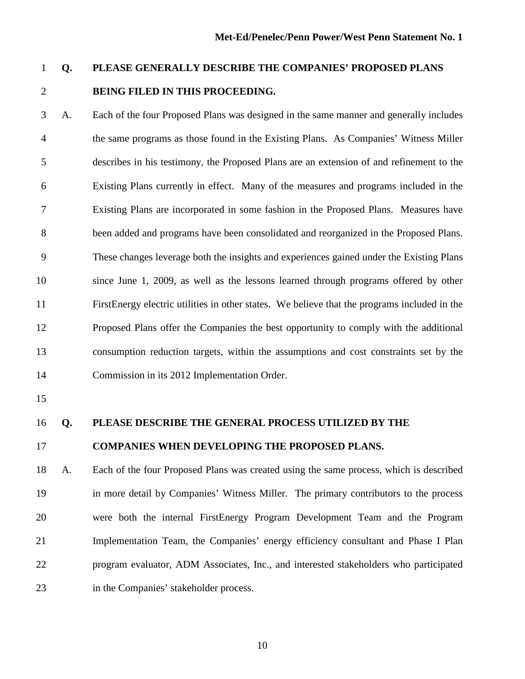# **Q. PLEASE GENERALLY DESCRIBE THE COMPANIES' PROPOSED PLANS BEING FILED IN THIS PROCEEDING.**

 A. Each of the four Proposed Plans was designed in the same manner and generally includes the same programs as those found in the Existing Plans. As Companies' Witness Miller describes in his testimony, the Proposed Plans are an extension of and refinement to the Existing Plans currently in effect. Many of the measures and programs included in the Existing Plans are incorporated in some fashion in the Proposed Plans. Measures have been added and programs have been consolidated and reorganized in the Proposed Plans. These changes leverage both the insights and experiences gained under the Existing Plans since June 1, 2009, as well as the lessons learned through programs offered by other FirstEnergy electric utilities in other states. We believe that the programs included in the Proposed Plans offer the Companies the best opportunity to comply with the additional consumption reduction targets, within the assumptions and cost constraints set by the Commission in its 2012 Implementation Order.

- 
- 

#### **Q. PLEASE DESCRIBE THE GENERAL PROCESS UTILIZED BY THE**

#### **COMPANIES WHEN DEVELOPING THE PROPOSED PLANS.**

 A. Each of the four Proposed Plans was created using the same process, which is described in more detail by Companies' Witness Miller. The primary contributors to the process were both the internal FirstEnergy Program Development Team and the Program Implementation Team, the Companies' energy efficiency consultant and Phase I Plan program evaluator, ADM Associates, Inc., and interested stakeholders who participated in the Companies' stakeholder process.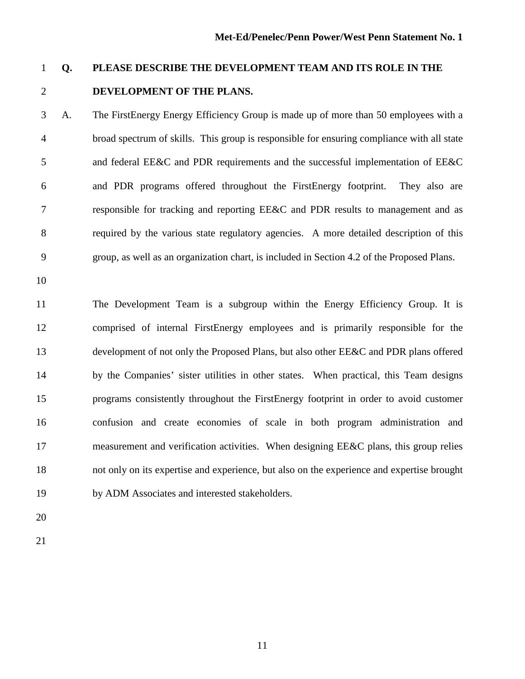### **DEVELOPMENT OF THE PLANS.**

 A. The FirstEnergy Energy Efficiency Group is made up of more than 50 employees with a broad spectrum of skills. This group is responsible for ensuring compliance with all state and federal EE&C and PDR requirements and the successful implementation of EE&C and PDR programs offered throughout the FirstEnergy footprint. They also are responsible for tracking and reporting EE&C and PDR results to management and as required by the various state regulatory agencies. A more detailed description of this group, as well as an organization chart, is included in Section 4.2 of the Proposed Plans.

**Q. PLEASE DESCRIBE THE DEVELOPMENT TEAM AND ITS ROLE IN THE** 

 The Development Team is a subgroup within the Energy Efficiency Group. It is comprised of internal FirstEnergy employees and is primarily responsible for the development of not only the Proposed Plans, but also other EE&C and PDR plans offered by the Companies' sister utilities in other states. When practical, this Team designs programs consistently throughout the FirstEnergy footprint in order to avoid customer confusion and create economies of scale in both program administration and 17 measurement and verification activities. When designing EE&C plans, this group relies not only on its expertise and experience, but also on the experience and expertise brought by ADM Associates and interested stakeholders.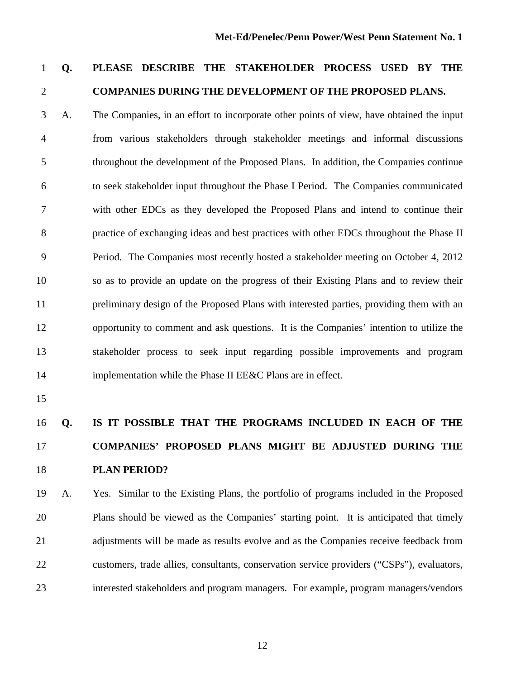# **Q. PLEASE DESCRIBE THE STAKEHOLDER PROCESS USED BY THE COMPANIES DURING THE DEVELOPMENT OF THE PROPOSED PLANS.**

 A. The Companies, in an effort to incorporate other points of view, have obtained the input from various stakeholders through stakeholder meetings and informal discussions throughout the development of the Proposed Plans. In addition, the Companies continue to seek stakeholder input throughout the Phase I Period. The Companies communicated with other EDCs as they developed the Proposed Plans and intend to continue their practice of exchanging ideas and best practices with other EDCs throughout the Phase II Period. The Companies most recently hosted a stakeholder meeting on October 4, 2012 so as to provide an update on the progress of their Existing Plans and to review their preliminary design of the Proposed Plans with interested parties, providing them with an opportunity to comment and ask questions. It is the Companies' intention to utilize the stakeholder process to seek input regarding possible improvements and program 14 implementation while the Phase II EE&C Plans are in effect.

# **Q. IS IT POSSIBLE THAT THE PROGRAMS INCLUDED IN EACH OF THE COMPANIES' PROPOSED PLANS MIGHT BE ADJUSTED DURING THE PLAN PERIOD?**

 A. Yes.Similar to the Existing Plans, the portfolio of programs included in the Proposed Plans should be viewed as the Companies' starting point. It is anticipated that timely 21 adjustments will be made as results evolve and as the Companies receive feedback from customers, trade allies, consultants, conservation service providers ("CSPs"), evaluators, interested stakeholders and program managers. For example, program managers/vendors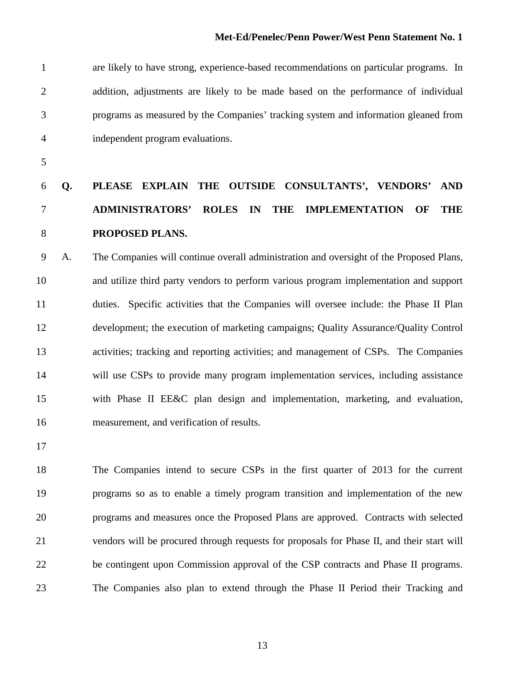are likely to have strong, experience-based recommendations on particular programs. In addition, adjustments are likely to be made based on the performance of individual programs as measured by the Companies' tracking system and information gleaned from independent program evaluations.

# **Q. PLEASE EXPLAIN THE OUTSIDE CONSULTANTS', VENDORS' AND ADMINISTRATORS' ROLES IN THE IMPLEMENTATION OF THE PROPOSED PLANS.**

 A. The Companies will continue overall administration and oversight of the Proposed Plans, and utilize third party vendors to perform various program implementation and support duties. Specific activities that the Companies will oversee include: the Phase II Plan development; the execution of marketing campaigns; Quality Assurance/Quality Control activities; tracking and reporting activities; and management of CSPs. The Companies will use CSPs to provide many program implementation services, including assistance with Phase II EE&C plan design and implementation, marketing, and evaluation, measurement, and verification of results.

 The Companies intend to secure CSPs in the first quarter of 2013 for the current programs so as to enable a timely program transition and implementation of the new programs and measures once the Proposed Plans are approved. Contracts with selected vendors will be procured through requests for proposals for Phase II, and their start will be contingent upon Commission approval of the CSP contracts and Phase II programs. The Companies also plan to extend through the Phase II Period their Tracking and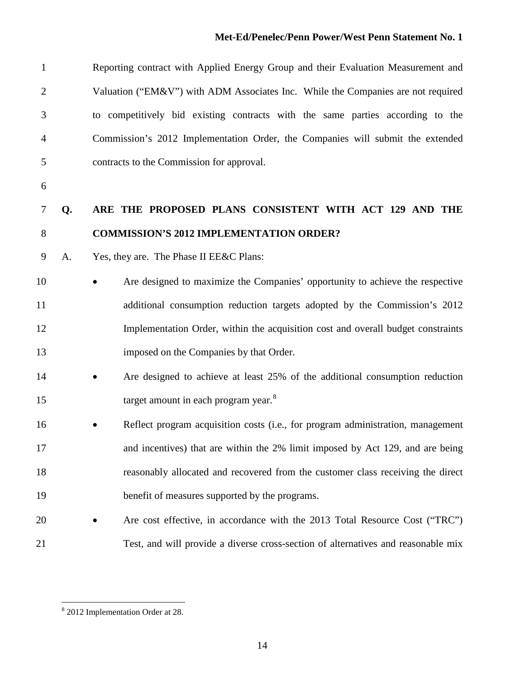| $\mathbf{1}$   |    | Reporting contract with Applied Energy Group and their Evaluation Measurement and |
|----------------|----|-----------------------------------------------------------------------------------|
| $\overline{2}$ |    | Valuation ("EM&V") with ADM Associates Inc. While the Companies are not required  |
| 3              |    | to competitively bid existing contracts with the same parties according to the    |
| 4              |    | Commission's 2012 Implementation Order, the Companies will submit the extended    |
| 5              |    | contracts to the Commission for approval.                                         |
| 6              |    |                                                                                   |
| 7              | Q. | ARE THE PROPOSED PLANS CONSISTENT WITH ACT 129 AND THE                            |
| 8              |    | <b>COMMISSION'S 2012 IMPLEMENTATION ORDER?</b>                                    |
| 9              | A. | Yes, they are. The Phase II EE&C Plans:                                           |
| 10             |    | Are designed to maximize the Companies' opportunity to achieve the respective     |
| 11             |    | additional consumption reduction targets adopted by the Commission's 2012         |
| 12             |    | Implementation Order, within the acquisition cost and overall budget constraints  |
| 13             |    | imposed on the Companies by that Order.                                           |
| 14             |    | Are designed to achieve at least 25% of the additional consumption reduction      |
| 15             |    | target amount in each program year. <sup>8</sup>                                  |
| 16             |    | Reflect program acquisition costs (i.e., for program administration, management   |
| 17             |    | and incentives) that are within the 2% limit imposed by Act 129, and are being    |
| 18             |    | reasonably allocated and recovered from the customer class receiving the direct   |
| 19             |    | benefit of measures supported by the programs.                                    |
| 20             |    | Are cost effective, in accordance with the 2013 Total Resource Cost ("TRC")       |
| 21             |    | Test, and will provide a diverse cross-section of alternatives and reasonable mix |

<span id="page-14-0"></span>2012 Implementation Order at 28.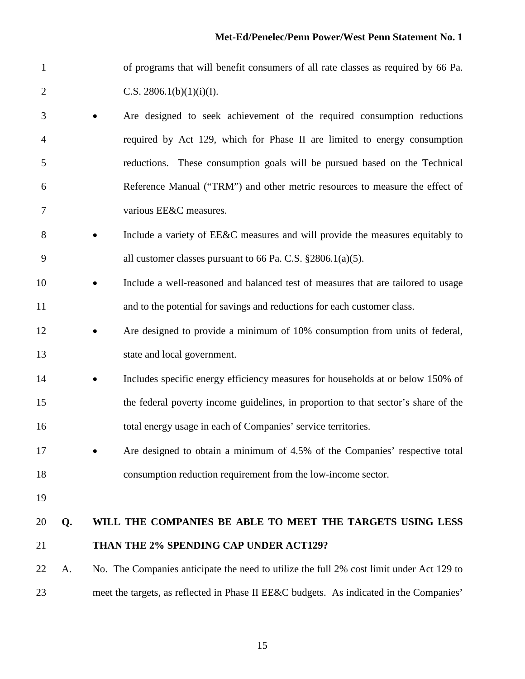| $\mathbf{1}$   |    |           | of programs that will benefit consumers of all rate classes as required by 66 Pa.        |
|----------------|----|-----------|------------------------------------------------------------------------------------------|
| $\overline{2}$ |    |           | C.S. 2806.1(b)(1)(i)(I).                                                                 |
| 3              |    |           | Are designed to seek achievement of the required consumption reductions                  |
| 4              |    |           | required by Act 129, which for Phase II are limited to energy consumption                |
| 5              |    |           | reductions. These consumption goals will be pursued based on the Technical               |
| 6              |    |           | Reference Manual ("TRM") and other metric resources to measure the effect of             |
| 7              |    |           | various EE&C measures.                                                                   |
| 8              |    |           | Include a variety of EE&C measures and will provide the measures equitably to            |
| 9              |    |           | all customer classes pursuant to 66 Pa. C.S. $\S 2806.1(a)(5)$ .                         |
| 10             |    | $\bullet$ | Include a well-reasoned and balanced test of measures that are tailored to usage         |
| 11             |    |           | and to the potential for savings and reductions for each customer class.                 |
| 12             |    |           | Are designed to provide a minimum of 10% consumption from units of federal,              |
| 13             |    |           | state and local government.                                                              |
| 14             |    |           | Includes specific energy efficiency measures for households at or below 150% of          |
| 15             |    |           | the federal poverty income guidelines, in proportion to that sector's share of the       |
| 16             |    |           | total energy usage in each of Companies' service territories.                            |
| 17             |    |           | Are designed to obtain a minimum of 4.5% of the Companies' respective total              |
| 18             |    |           | consumption reduction requirement from the low-income sector.                            |
| 19             |    |           |                                                                                          |
| 20             | Q. |           | WILL THE COMPANIES BE ABLE TO MEET THE TARGETS USING LESS                                |
| 21             |    |           | THAN THE 2% SPENDING CAP UNDER ACT129?                                                   |
| 22             | A. |           | No. The Companies anticipate the need to utilize the full 2% cost limit under Act 129 to |
| 23             |    |           | meet the targets, as reflected in Phase II EE&C budgets. As indicated in the Companies'  |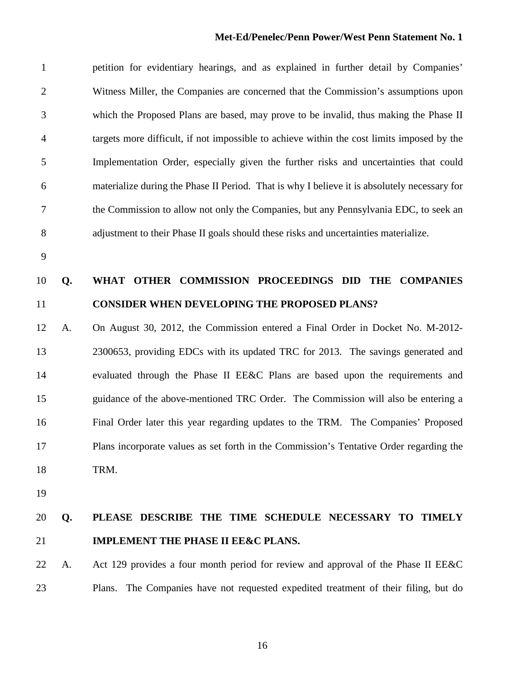#### **Met-Ed/Penelec/Penn Power/West Penn Statement No. 1**

 petition for evidentiary hearings, and as explained in further detail by Companies' Witness Miller, the Companies are concerned that the Commission's assumptions upon which the Proposed Plans are based, may prove to be invalid, thus making the Phase II targets more difficult, if not impossible to achieve within the cost limits imposed by the Implementation Order, especially given the further risks and uncertainties that could materialize during the Phase II Period. That is why I believe it is absolutely necessary for the Commission to allow not only the Companies, but any Pennsylvania EDC, to seek an adjustment to their Phase II goals should these risks and uncertainties materialize.

# **Q. WHAT OTHER COMMISSION PROCEEDINGS DID THE COMPANIES CONSIDER WHEN DEVELOPING THE PROPOSED PLANS?**

 A. On August 30, 2012, the Commission entered a Final Order in Docket No. M-2012- 2300653, providing EDCs with its updated TRC for 2013. The savings generated and evaluated through the Phase II EE&C Plans are based upon the requirements and guidance of the above-mentioned TRC Order. The Commission will also be entering a Final Order later this year regarding updates to the TRM. The Companies' Proposed Plans incorporate values as set forth in the Commission's Tentative Order regarding the TRM.

## **Q. PLEASE DESCRIBE THE TIME SCHEDULE NECESSARY TO TIMELY IMPLEMENT THE PHASE II EE&C PLANS.**

 A. Act 129 provides a four month period for review and approval of the Phase II EE&C Plans. The Companies have not requested expedited treatment of their filing, but do